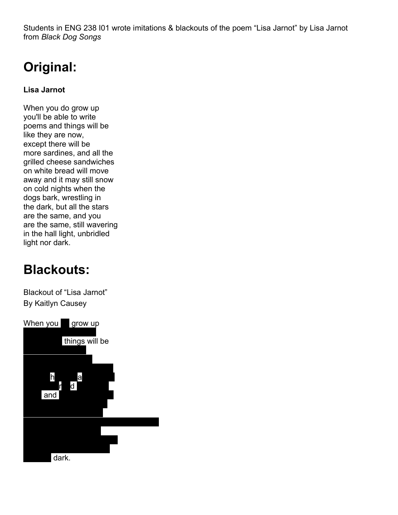Students in ENG 238 I01 wrote imitations & blackouts of the poem "Lisa Jarnot" by Lisa Jarnot from *Black Dog Songs*

## **Original:**

**Lisa Jarnot**

When you do grow up you'll be able to write poems and things will be like they are now, except there will be more sardines, and all the grilled cheese sandwiches on white bread will move away and it may still snow on cold nights when the dogs bark, wrestling in the dark, but all the stars are the same, and you are the same, still wavering in the hall light, unbridled light nor dark.

## **Blackouts:**

Blackout of "Lisa Jarnot" By Kaitlyn Causey

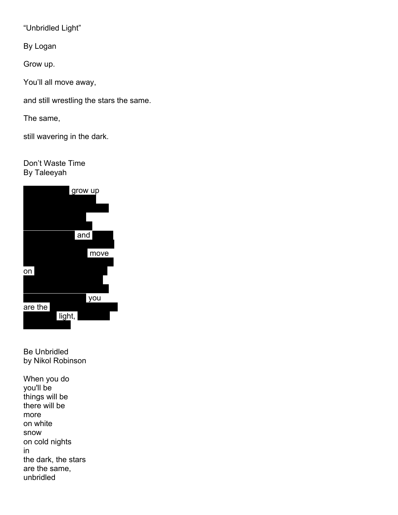"Unbridled Light"

By Logan

Grow up.

You'll all move away,

and still wrestling the stars the same.

The same,

still wavering in the dark.

Don't Waste Time By Taleeyah



Be Unbridled by Nikol Robinson

When you do you'll be things will be there will be more on white snow on cold nights in the dark, the stars are the same, unbridled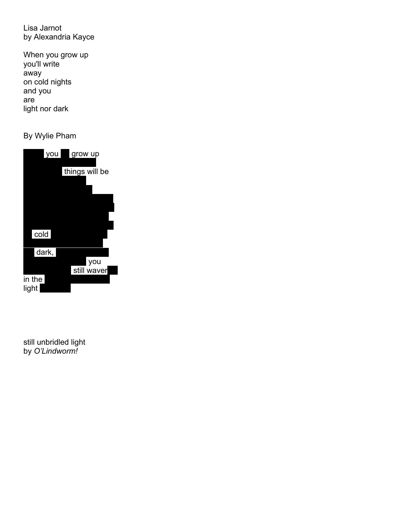Lisa Jarnot by Alexandria Kayce

When you grow up you'll write away on cold nights and you are light nor dark

By Wylie Pham



still unbridled light by *O'Lindworm!*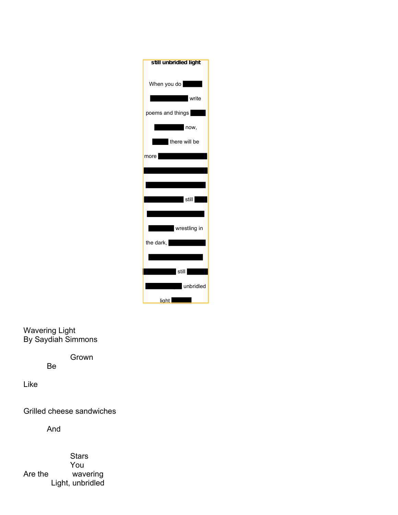

Wavering Light By Saydiah Simmons

Grown

Be

Like

Grilled cheese sandwiches

And

**Stars** You Are the wavering Light, unbridled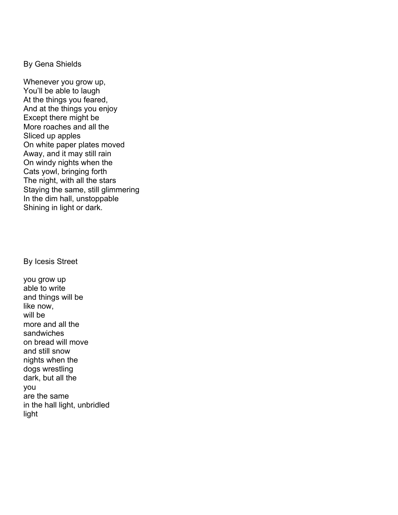By Gena Shields

Whenever you grow up, You'll be able to laugh At the things you feared, And at the things you enjoy Except there might be More roaches and all the Sliced up apples On white paper plates moved Away, and it may still rain On windy nights when the Cats yowl, bringing forth The night, with all the stars Staying the same, still glimmering In the dim hall, unstoppable Shining in light or dark.

By Icesis Street

you grow up able to write and things will be like now, will be more and all the sandwiches on bread will move and still snow nights when the dogs wrestling dark, but all the you are the same in the hall light, unbridled light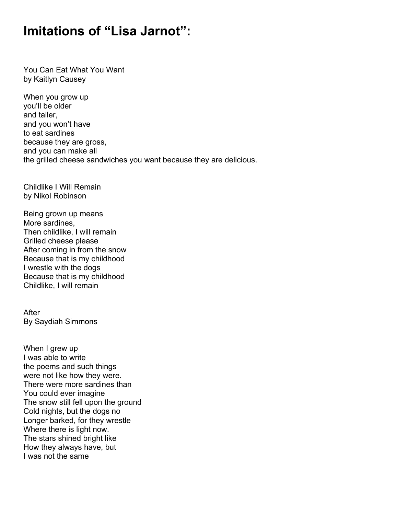## **Imitations of "Lisa Jarnot":**

You Can Eat What You Want by Kaitlyn Causey

When you grow up you'll be older and taller, and you won't have to eat sardines because they are gross, and you can make all the grilled cheese sandwiches you want because they are delicious.

Childlike I Will Remain by Nikol Robinson

Being grown up means More sardines, Then childlike, I will remain Grilled cheese please After coming in from the snow Because that is my childhood I wrestle with the dogs Because that is my childhood Childlike, I will remain

After By Saydiah Simmons

When I grew up I was able to write the poems and such things were not like how they were. There were more sardines than You could ever imagine The snow still fell upon the ground Cold nights, but the dogs no Longer barked, for they wrestle Where there is light now. The stars shined bright like How they always have, but I was not the same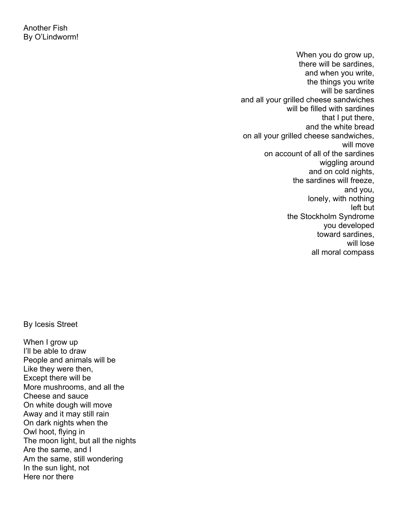When you do grow up, there will be sardines, and when you write, the things you write will be sardines and all your grilled cheese sandwiches will be filled with sardines that I put there, and the white bread on all your grilled cheese sandwiches, will move on account of all of the sardines wiggling around and on cold nights, the sardines will freeze, and you, lonely, with nothing left but the Stockholm Syndrome you developed toward sardines, will lose all moral compass

By Icesis Street

When I grow up I'll be able to draw People and animals will be Like they were then, Except there will be More mushrooms, and all the Cheese and sauce On white dough will move Away and it may still rain On dark nights when the Owl hoot, flying in The moon light, but all the nights Are the same, and I Am the same, still wondering In the sun light, not Here nor there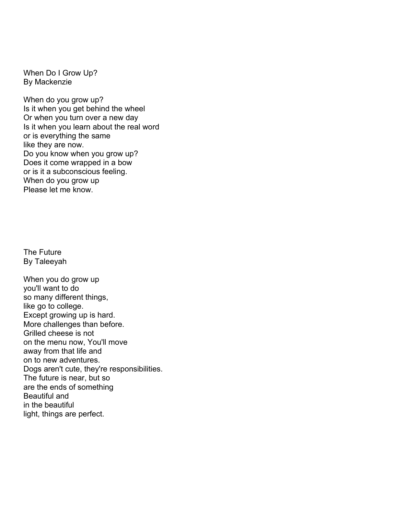When Do I Grow Up? By Mackenzie

When do you grow up? Is it when you get behind the wheel Or when you turn over a new day Is it when you learn about the real word or is everything the same like they are now. Do you know when you grow up? Does it come wrapped in a bow or is it a subconscious feeling. When do you grow up Please let me know.

The Future By Taleeyah

When you do grow up you'll want to do so many different things, like go to college. Except growing up is hard. More challenges than before. Grilled cheese is not on the menu now, You'll move away from that life and on to new adventures. Dogs aren't cute, they're responsibilities. The future is near, but so are the ends of something Beautiful and in the beautiful light, things are perfect.